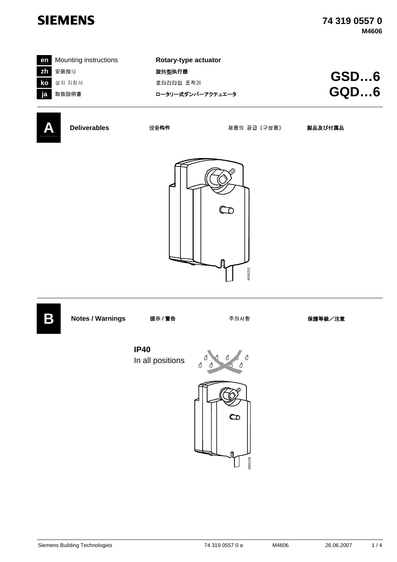

| en Mounting instructions | Rotary-type actuator |             |
|--------------------------|----------------------|-------------|
| Zh 安装指导                  | 旋转型执行器               | <b>GSD6</b> |
| <b>ko</b> 설치 지침서         | 로터리타입 조작기            |             |
| ja 取扱説明書                 | ロータリー式ダンパーアクチュエータ    | GQD6        |
|                          |                      |             |



**A Deliverables** 设备构件 제품의 공급 (구성품) 製品及び付属品





**IP40** In all positions



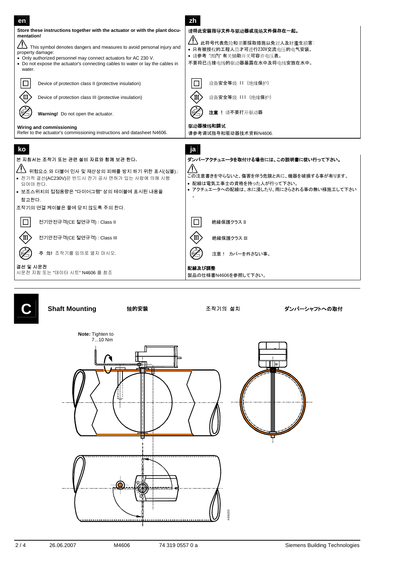

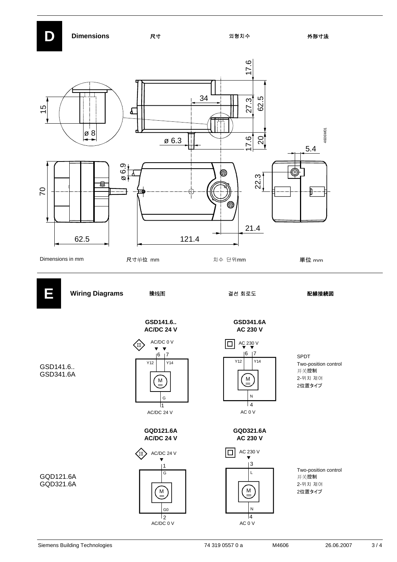



AC 0 V

AC/DC 0 V